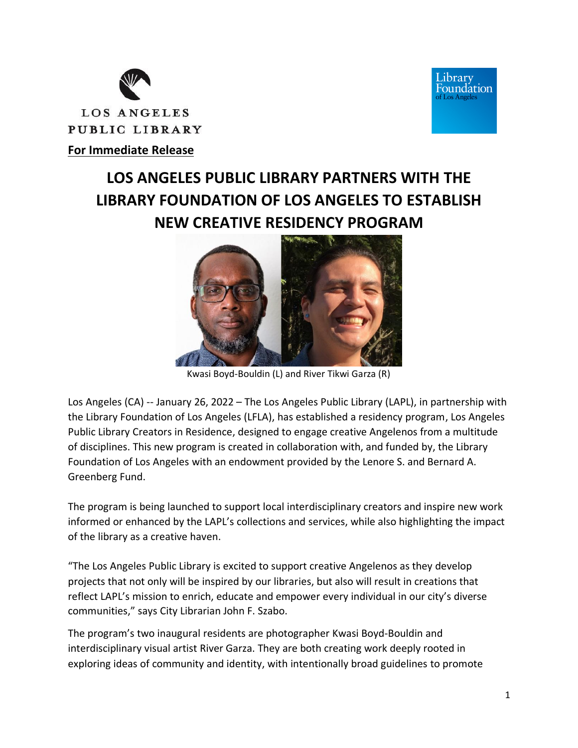



# **For Immediate Release**

# **LOS ANGELES PUBLIC LIBRARY PARTNERS WITH THE LIBRARY FOUNDATION OF LOS ANGELES TO ESTABLISH NEW CREATIVE RESIDENCY PROGRAM**



Kwasi Boyd-Bouldin (L) and River Tikwi Garza (R)

Los Angeles (CA) -- January 26, 2022 – The Los Angeles Public Library (LAPL), in partnership with the Library Foundation of Los Angeles (LFLA), has established a residency program, Los Angeles Public Library Creators in Residence, designed to engage creative Angelenos from a multitude of disciplines. This new program is created in collaboration with, and funded by, the Library Foundation of Los Angeles with an endowment provided by the Lenore S. and Bernard A. Greenberg Fund.

The program is being launched to support local interdisciplinary creators and inspire new work informed or enhanced by the LAPL's collections and services, while also highlighting the impact of the library as a creative haven.

"The Los Angeles Public Library is excited to support creative Angelenos as they develop projects that not only will be inspired by our libraries, but also will result in creations that reflect LAPL's mission to enrich, educate and empower every individual in our city's diverse communities," says City Librarian John F. Szabo.

The program's two inaugural residents are photographer Kwasi Boyd-Bouldin and interdisciplinary visual artist River Garza. They are both creating work deeply rooted in exploring ideas of community and identity, with intentionally broad guidelines to promote